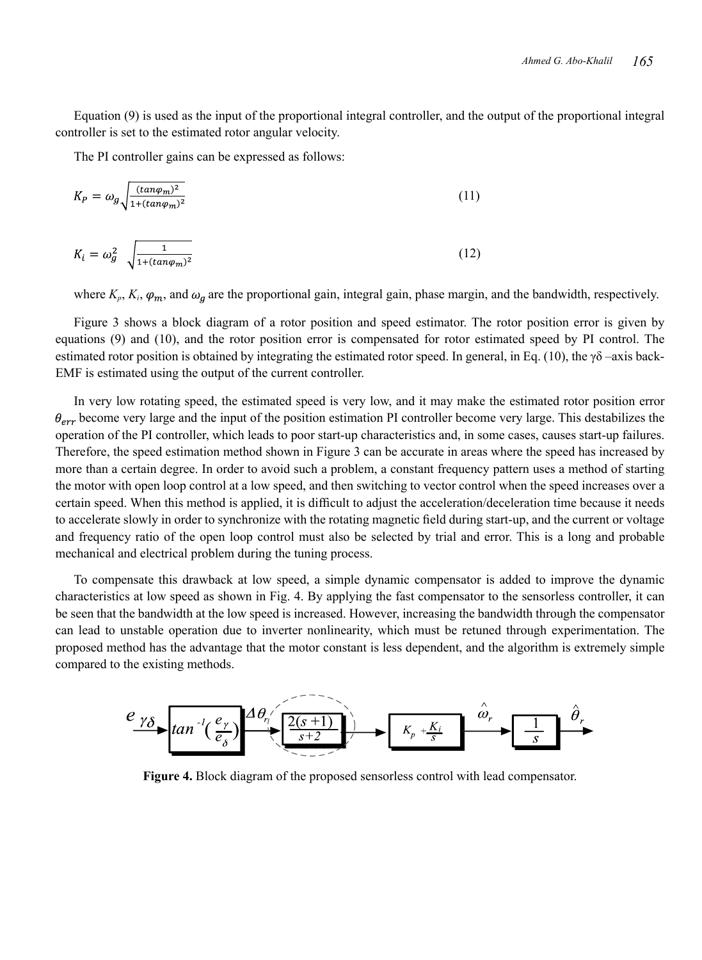Equation (9) is used as the input of the proportional integral controller, and the output of the proportional integral controller is set to the estimated rotor angular velocity.

The PI controller gains can be expressed as follows:

$$
K_P = \omega_g \sqrt{\frac{(\tan \varphi_m)^2}{1 + (\tan \varphi_m)^2}}\tag{11}
$$

$$
K_i = \omega_g^2 \sqrt{\frac{1}{1 + (\tan \varphi_m)^2}} \tag{12}
$$

where  $K_p$ ,  $K_i$ ,  $\varphi_m$ , and  $\omega_q$  are the proportional gain, integral gain, phase margin, and the bandwidth, respectively.

Figure 3 shows a block diagram of a rotor position and speed estimator. The rotor position error is given by equations (9) and (10), and the rotor position error is compensated for rotor estimated speed by PI control. The estimated rotor position is obtained by integrating the estimated rotor speed. In general, in Eq. (10), the  $\gamma\delta$  –axis back-EMF is estimated using the output of the current controller.

In very low rotating speed, the estimated speed is very low, and it may make the estimated rotor position error  $\theta_{err}$  become very large and the input of the position estimation PI controller become very large. This destabilizes the operation of the PI controller, which leads to poor start-up characteristics and, in some cases, causes start-up failures. Therefore, the speed estimation method shown in Figure 3 can be accurate in areas where the speed has increased by more than a certain degree. In order to avoid such a problem, a constant frequency pattern uses a method of starting the motor with open loop control at a low speed, and then switching to vector control when the speed increases over a certain speed. When this method is applied, it is difficult to adjust the acceleration/deceleration time because it needs to accelerate slowly in order to synchronize with the rotating magnetic field during start-up, and the current or voltage and frequency ratio of the open loop control must also be selected by trial and error. This is a long and probable mechanical and electrical problem during the tuning process.

To compensate this drawback at low speed, a simple dynamic compensator is added to improve the dynamic characteristics at low speed as shown in Fig. 4. By applying the fast compensator to the sensorless controller, it can be seen that the bandwidth at the low speed is increased. However, increasing the bandwidth through the compensator can lead to unstable operation due to inverter nonlinearity, which must be retuned through experimentation. The proposed method has the advantage that the motor constant is less dependent, and the algorithm is extremely simple compared to the existing methods.



**Figure 4.** Block diagram of the proposed sensorless control with lead compensator.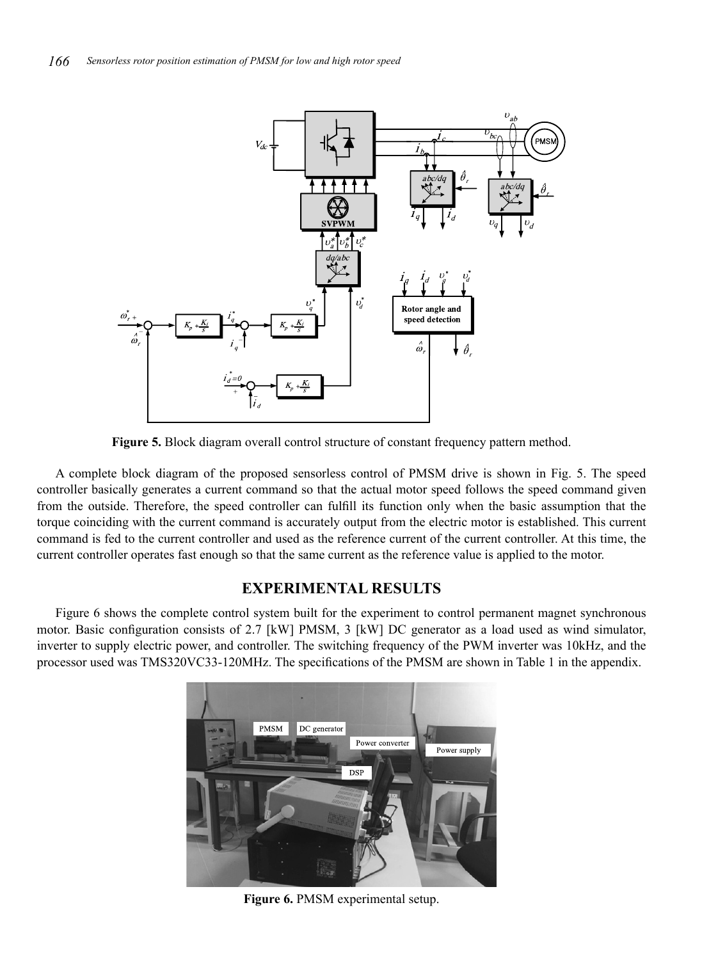

**Figure 5.** Block diagram overall control structure of constant frequency pattern method.

A complete block diagram of the proposed sensorless control of PMSM drive is shown in Fig. 5. The speed controller basically generates a current command so that the actual motor speed follows the speed command given from the outside. Therefore, the speed controller can fulfill its function only when the basic assumption that the torque coinciding with the current command is accurately output from the electric motor is established. This current command is fed to the current controller and used as the reference current of the current controller. At this time, the current controller operates fast enough so that the same current as the reference value is applied to the motor.

# **EXPERIMENTAL RESULTS**

Figure 6 shows the complete control system built for the experiment to control permanent magnet synchronous motor. Basic configuration consists of 2.7 [kW] PMSM, 3 [kW] DC generator as a load used as wind simulator, inverter to supply electric power, and controller. The switching frequency of the PWM inverter was 10kHz, and the processor used was TMS320VC33-120MHz. The specifications of the PMSM are shown in Table 1 in the appendix.



**Figure 6.** PMSM experimental setup.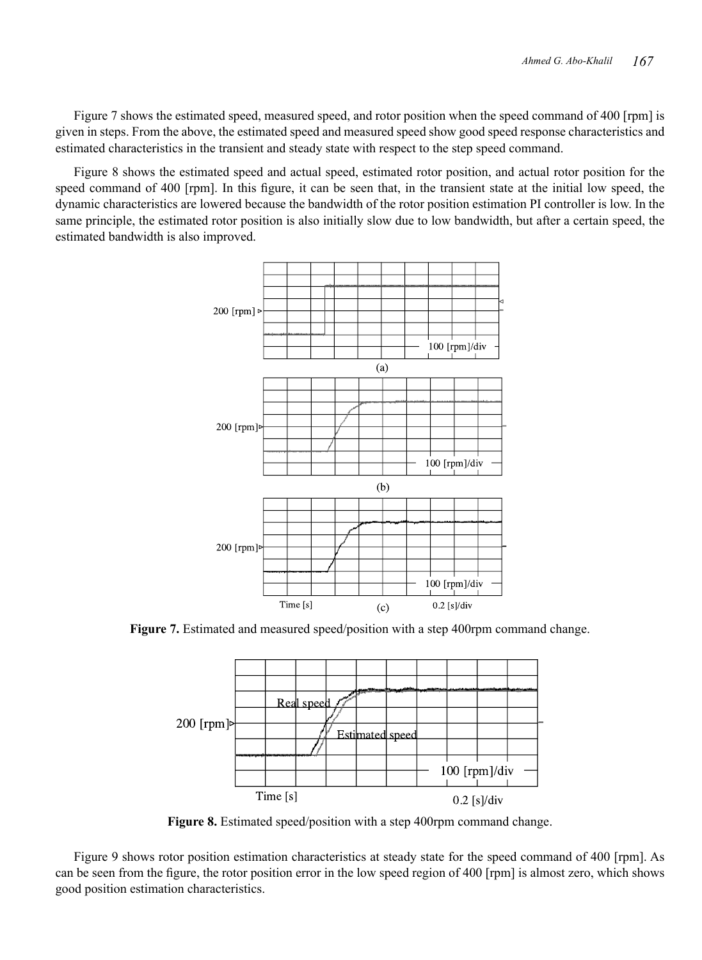Figure 7 shows the estimated speed, measured speed, and rotor position when the speed command of 400 [rpm] is given in steps. From the above, the estimated speed and measured speed show good speed response characteristics and estimated characteristics in the transient and steady state with respect to the step speed command.

Figure 8 shows the estimated speed and actual speed, estimated rotor position, and actual rotor position for the speed command of 400 [rpm]. In this figure, it can be seen that, in the transient state at the initial low speed, the dynamic characteristics are lowered because the bandwidth of the rotor position estimation PI controller is low. In the same principle, the estimated rotor position is also initially slow due to low bandwidth, but after a certain speed, the estimated bandwidth is also improved.



**Figure 7.** Estimated and measured speed/position with a step 400rpm command change.



**Figure 8.** Estimated speed/position with a step 400rpm command change.

Figure 9 shows rotor position estimation characteristics at steady state for the speed command of 400 [rpm]. As can be seen from the figure, the rotor position error in the low speed region of 400 [rpm] is almost zero, which shows good position estimation characteristics.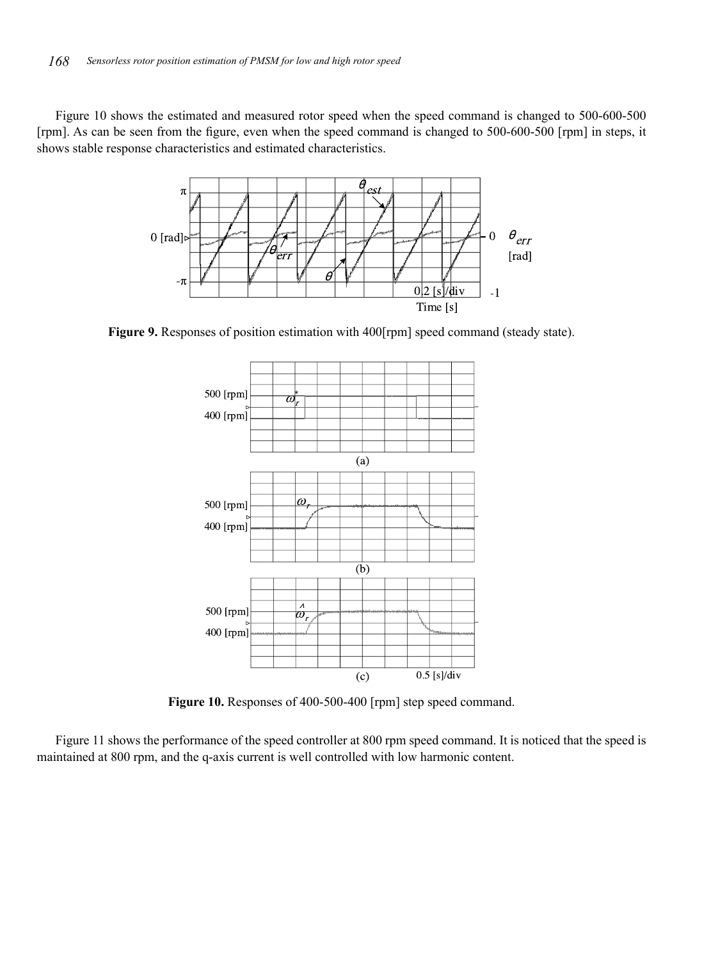Figure 10 shows the estimated and measured rotor speed when the speed command is changed to 500-600-500 [rpm]. As can be seen from the figure, even when the speed command is changed to 500-600-500 [rpm] in steps, it shows stable response characteristics and estimated characteristics.



**Figure 9.** Responses of position estimation with 400[rpm] speed command (steady state).



**Figure 10.** Responses of 400-500-400 [rpm] step speed command.

Figure 11 shows the performance of the speed controller at 800 rpm speed command. It is noticed that the speed is maintained at 800 rpm, and the q-axis current is well controlled with low harmonic content.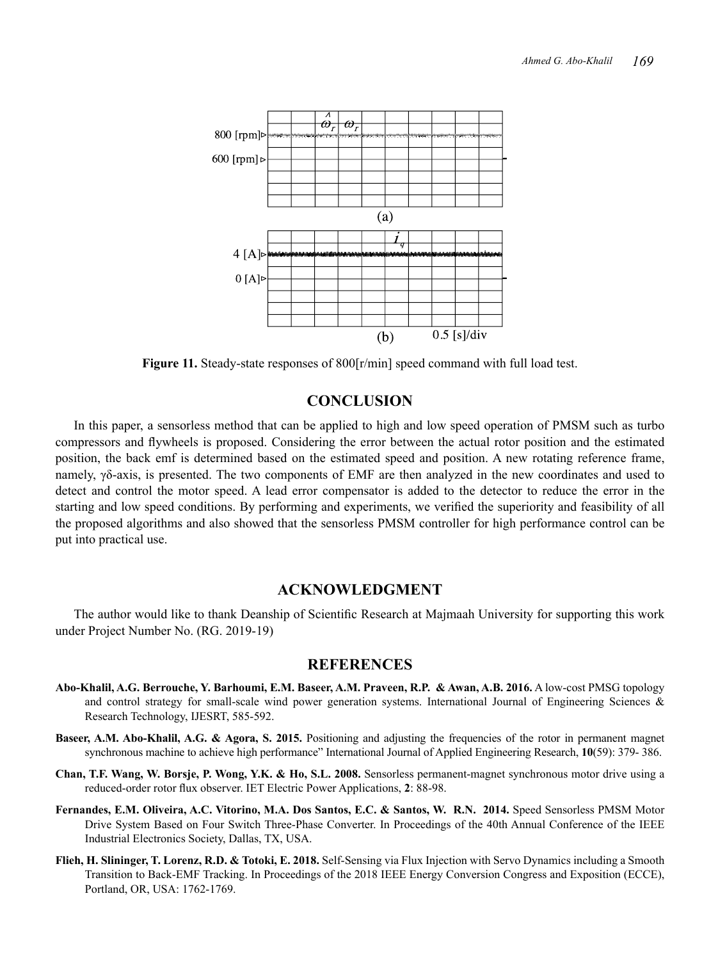

**Figure 11.** Steady-state responses of 800[r/min] speed command with full load test.

## **CONCLUSION**

In this paper, a sensorless method that can be applied to high and low speed operation of PMSM such as turbo compressors and flywheels is proposed. Considering the error between the actual rotor position and the estimated position, the back emf is determined based on the estimated speed and position. A new rotating reference frame, namely, γδ-axis, is presented. The two components of EMF are then analyzed in the new coordinates and used to detect and control the motor speed. A lead error compensator is added to the detector to reduce the error in the starting and low speed conditions. By performing and experiments, we verified the superiority and feasibility of all the proposed algorithms and also showed that the sensorless PMSM controller for high performance control can be put into practical use.

## **ACKNOWLEDGMENT**

The author would like to thank Deanship of Scientific Research at Majmaah University for supporting this work under Project Number No. (RG. 2019-19)

#### **REFERENCES**

- **Abo-Khalil, A.G. Berrouche, Y. Barhoumi, E.M. Baseer, A.M. Praveen, R.P. & Awan, A.B. 2016.** A low-cost PMSG topology and control strategy for small-scale wind power generation systems. International Journal of Engineering Sciences & Research Technology, IJESRT, 585-592.
- **Baseer, A.M. Abo-Khalil, A.G. & Agora, S. 2015.** Positioning and adjusting the frequencies of the rotor in permanent magnet synchronous machine to achieve high performance" International Journal of Applied Engineering Research, **10**(59): 379- 386.
- **Chan, T.F. Wang, W. Borsje, P. Wong, Y.K. & Ho, S.L. 2008.** Sensorless permanent-magnet synchronous motor drive using a reduced-order rotor flux observer. IET Electric Power Applications, **2**: 88-98.
- **Fernandes, E.M. Oliveira, A.C. Vitorino, M.A. Dos Santos, E.C. & Santos, W. R.N. 2014.** Speed Sensorless PMSM Motor Drive System Based on Four Switch Three-Phase Converter. In Proceedings of the 40th Annual Conference of the IEEE Industrial Electronics Society, Dallas, TX, USA.
- **Flieh, H. Slininger, T. Lorenz, R.D. & Totoki, E. 2018.** Self-Sensing via Flux Injection with Servo Dynamics including a Smooth Transition to Back-EMF Tracking. In Proceedings of the 2018 IEEE Energy Conversion Congress and Exposition (ECCE), Portland, OR, USA: 1762-1769.